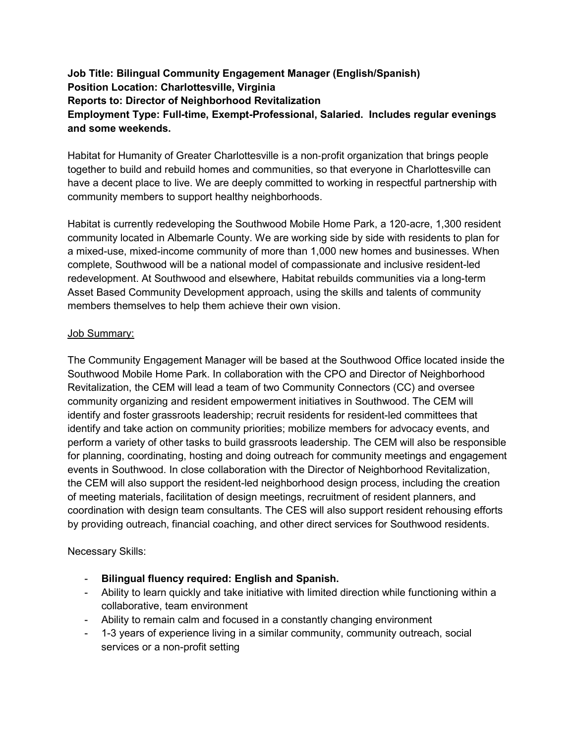# **Job Title: Bilingual Community Engagement Manager (English/Spanish) Position Location: Charlottesville, Virginia Reports to: Director of Neighborhood Revitalization Employment Type: Full-time, Exempt-Professional, Salaried. Includes regular evenings and some weekends.**

Habitat for Humanity of Greater Charlottesville is a non‐profit organization that brings people together to build and rebuild homes and communities, so that everyone in Charlottesville can have a decent place to live. We are deeply committed to working in respectful partnership with community members to support healthy neighborhoods.

Habitat is currently redeveloping the Southwood Mobile Home Park, a 120-acre, 1,300 resident community located in Albemarle County. We are working side by side with residents to plan for a mixed-use, mixed-income community of more than 1,000 new homes and businesses. When complete, Southwood will be a national model of compassionate and inclusive resident-led redevelopment. At Southwood and elsewhere, Habitat rebuilds communities via a long-term Asset Based Community Development approach, using the skills and talents of community members themselves to help them achieve their own vision.

### Job Summary:

The Community Engagement Manager will be based at the Southwood Office located inside the Southwood Mobile Home Park. In collaboration with the CPO and Director of Neighborhood Revitalization, the CEM will lead a team of two Community Connectors (CC) and oversee community organizing and resident empowerment initiatives in Southwood. The CEM will identify and foster grassroots leadership; recruit residents for resident-led committees that identify and take action on community priorities; mobilize members for advocacy events, and perform a variety of other tasks to build grassroots leadership. The CEM will also be responsible for planning, coordinating, hosting and doing outreach for community meetings and engagement events in Southwood. In close collaboration with the Director of Neighborhood Revitalization, the CEM will also support the resident-led neighborhood design process, including the creation of meeting materials, facilitation of design meetings, recruitment of resident planners, and coordination with design team consultants. The CES will also support resident rehousing efforts by providing outreach, financial coaching, and other direct services for Southwood residents.

Necessary Skills:

- **Bilingual fluency required: English and Spanish.**
- Ability to learn quickly and take initiative with limited direction while functioning within a collaborative, team environment
- Ability to remain calm and focused in a constantly changing environment
- 1-3 years of experience living in a similar community, community outreach, social services or a non-profit setting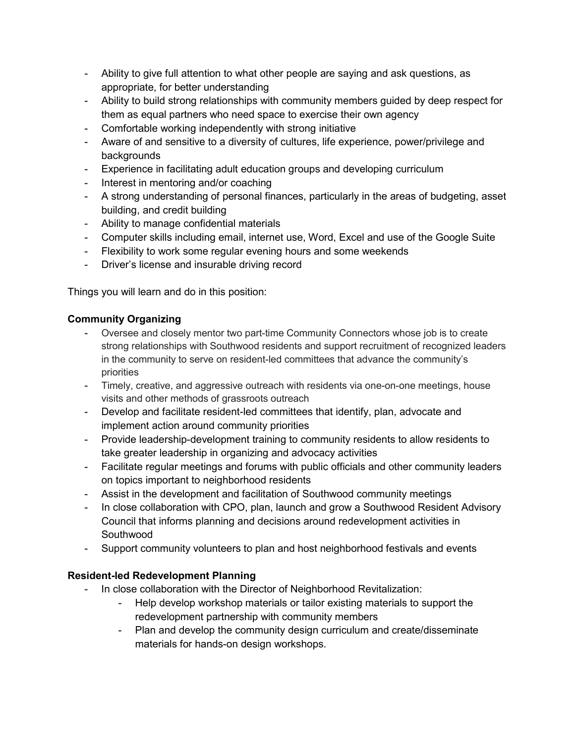- Ability to give full attention to what other people are saying and ask questions, as appropriate, for better understanding
- Ability to build strong relationships with community members guided by deep respect for them as equal partners who need space to exercise their own agency
- Comfortable working independently with strong initiative
- Aware of and sensitive to a diversity of cultures, life experience, power/privilege and backgrounds
- Experience in facilitating adult education groups and developing curriculum
- Interest in mentoring and/or coaching
- A strong understanding of personal finances, particularly in the areas of budgeting, asset building, and credit building
- Ability to manage confidential materials
- Computer skills including email, internet use, Word, Excel and use of the Google Suite
- Flexibility to work some regular evening hours and some weekends
- Driver's license and insurable driving record

Things you will learn and do in this position:

## **Community Organizing**

- Oversee and closely mentor two part-time Community Connectors whose job is to create strong relationships with Southwood residents and support recruitment of recognized leaders in the community to serve on resident-led committees that advance the community's priorities
- Timely, creative, and aggressive outreach with residents via one-on-one meetings, house visits and other methods of grassroots outreach
- Develop and facilitate resident-led committees that identify, plan, advocate and implement action around community priorities
- Provide leadership-development training to community residents to allow residents to take greater leadership in organizing and advocacy activities
- Facilitate regular meetings and forums with public officials and other community leaders on topics important to neighborhood residents
- Assist in the development and facilitation of Southwood community meetings
- In close collaboration with CPO, plan, launch and grow a Southwood Resident Advisory Council that informs planning and decisions around redevelopment activities in Southwood
- Support community volunteers to plan and host neighborhood festivals and events

## **Resident-led Redevelopment Planning**

- In close collaboration with the Director of Neighborhood Revitalization:
	- Help develop workshop materials or tailor existing materials to support the redevelopment partnership with community members
	- Plan and develop the community design curriculum and create/disseminate materials for hands-on design workshops.